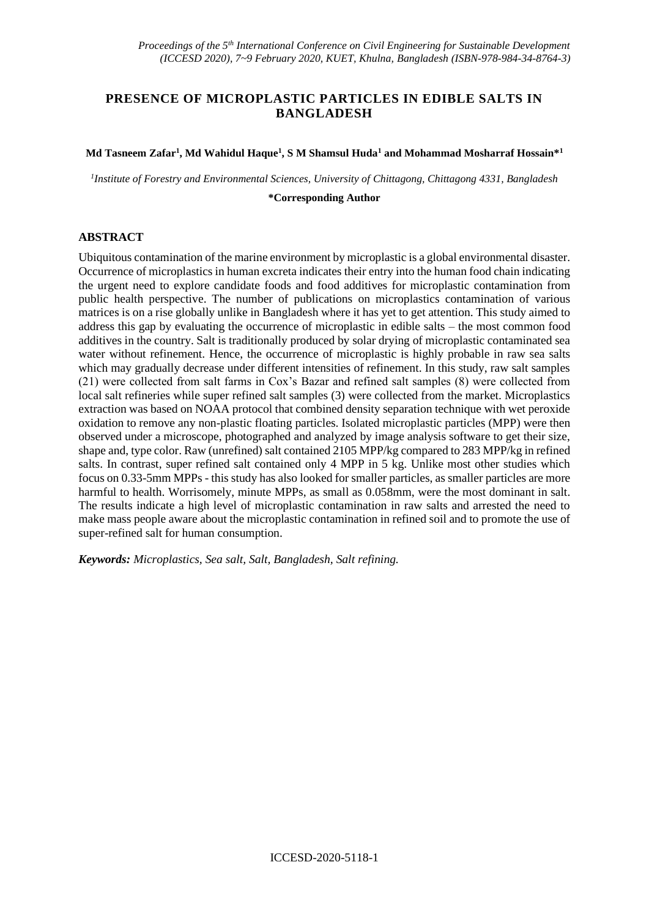# **PRESENCE OF MICROPLASTIC PARTICLES IN EDIBLE SALTS IN BANGLADESH**

#### **Md Tasneem Zafar<sup>1</sup> , Md Wahidul Haque<sup>1</sup> , S M Shamsul Huda<sup>1</sup> and Mohammad Mosharraf Hossain\*<sup>1</sup>**

*1 Institute of Forestry and Environmental Sciences, University of Chittagong, Chittagong 4331, Bangladesh*

**\*Corresponding Author**

#### **ABSTRACT**

Ubiquitous contamination of the marine environment by microplastic is a global environmental disaster. Occurrence of microplastics in human excreta indicates their entry into the human food chain indicating the urgent need to explore candidate foods and food additives for microplastic contamination from public health perspective. The number of publications on microplastics contamination of various matrices is on a rise globally unlike in Bangladesh where it has yet to get attention. This study aimed to address this gap by evaluating the occurrence of microplastic in edible salts – the most common food additives in the country. Salt is traditionally produced by solar drying of microplastic contaminated sea water without refinement. Hence, the occurrence of microplastic is highly probable in raw sea salts which may gradually decrease under different intensities of refinement. In this study, raw salt samples (21) were collected from salt farms in Cox's Bazar and refined salt samples (8) were collected from local salt refineries while super refined salt samples (3) were collected from the market. Microplastics extraction was based on NOAA protocol that combined density separation technique with wet peroxide oxidation to remove any non-plastic floating particles. Isolated microplastic particles (MPP) were then observed under a microscope, photographed and analyzed by image analysis software to get their size, shape and, type color. Raw (unrefined) salt contained 2105 MPP/kg compared to 283 MPP/kg in refined salts. In contrast, super refined salt contained only 4 MPP in 5 kg. Unlike most other studies which focus on 0.33-5mm MPPs - this study has also looked for smaller particles, as smaller particles are more harmful to health. Worrisomely, minute MPPs, as small as 0.058mm, were the most dominant in salt. The results indicate a high level of microplastic contamination in raw salts and arrested the need to make mass people aware about the microplastic contamination in refined soil and to promote the use of super-refined salt for human consumption.

*Keywords: Microplastics, Sea salt, Salt, Bangladesh, Salt refining.*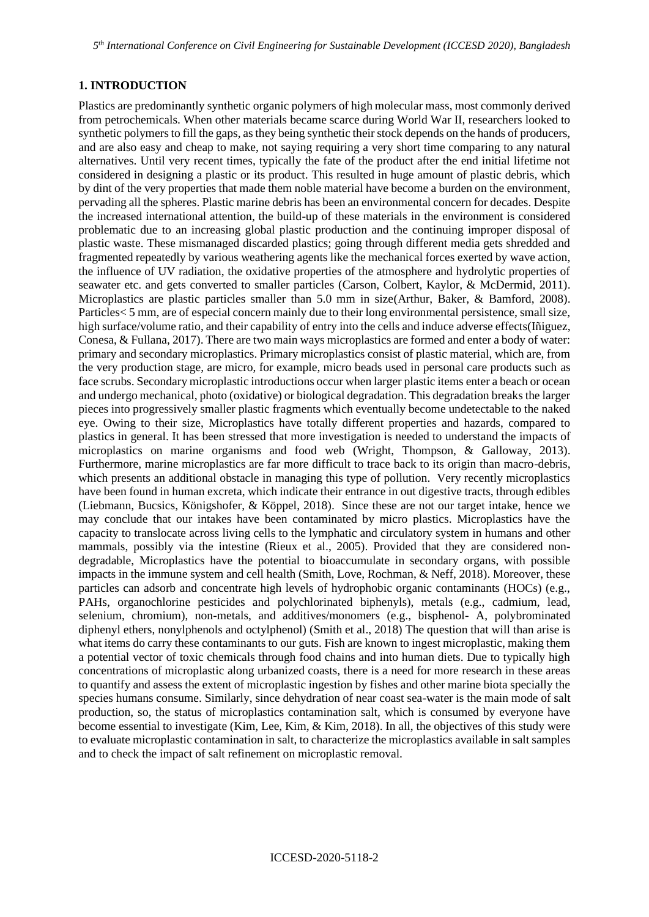### **1. INTRODUCTION**

Plastics are predominantly synthetic organic polymers of high molecular mass, most commonly derived from petrochemicals. When other materials became scarce during World War II, researchers looked to synthetic polymers to fill the gaps, as they being synthetic their stock depends on the hands of producers, and are also easy and cheap to make, not saying requiring a very short time comparing to any natural alternatives. Until very recent times, typically the fate of the product after the end initial lifetime not considered in designing a plastic or its product. This resulted in huge amount of plastic debris, which by dint of the very properties that made them noble material have become a burden on the environment, pervading all the spheres. Plastic marine debris has been an environmental concern for decades. Despite the increased international attention, the build-up of these materials in the environment is considered problematic due to an increasing global plastic production and the continuing improper disposal of plastic waste. These mismanaged discarded plastics; going through different media gets shredded and fragmented repeatedly by various weathering agents like the mechanical forces exerted by wave action, the influence of UV radiation, the oxidative properties of the atmosphere and hydrolytic properties of seawater etc. and gets converted to smaller particles (Carson, Colbert, Kaylor, & McDermid, 2011). Microplastics are plastic particles smaller than 5.0 mm in size(Arthur, Baker, & Bamford, 2008). Particles< 5 mm, are of especial concern mainly due to their long environmental persistence, small size, high surface/volume ratio, and their capability of entry into the cells and induce adverse effects(Iñiguez, Conesa, & Fullana, 2017). There are two main ways microplastics are formed and enter a body of water: primary and secondary microplastics. Primary microplastics consist of plastic material, which are, from the very production stage, are micro, for example, micro beads used in personal care products such as face scrubs. Secondary microplastic introductions occur when larger plastic items enter a beach or ocean and undergo mechanical, photo (oxidative) or biological degradation. This degradation breaks the larger pieces into progressively smaller plastic fragments which eventually become undetectable to the naked eye. Owing to their size, Microplastics have totally different properties and hazards, compared to plastics in general. It has been stressed that more investigation is needed to understand the impacts of microplastics on marine organisms and food web (Wright, Thompson, & Galloway, 2013). Furthermore, marine microplastics are far more difficult to trace back to its origin than macro-debris, which presents an additional obstacle in managing this type of pollution. Very recently microplastics have been found in human excreta, which indicate their entrance in out digestive tracts, through edibles (Liebmann, Bucsics, Königshofer, & Köppel, 2018). Since these are not our target intake, hence we may conclude that our intakes have been contaminated by micro plastics. Microplastics have the capacity to translocate across living cells to the lymphatic and circulatory system in humans and other mammals, possibly via the intestine (Rieux et al., 2005). Provided that they are considered nondegradable, Microplastics have the potential to bioaccumulate in secondary organs, with possible impacts in the immune system and cell health (Smith, Love, Rochman, & Neff, 2018). Moreover, these particles can adsorb and concentrate high levels of hydrophobic organic contaminants (HOCs) (e.g., PAHs, organochlorine pesticides and polychlorinated biphenyls), metals (e.g., cadmium, lead, selenium, chromium), non-metals, and additives/monomers (e.g., bisphenol- A, polybrominated diphenyl ethers, nonylphenols and octylphenol) (Smith et al., 2018) The question that will than arise is what items do carry these contaminants to our guts. Fish are known to ingest microplastic, making them a potential vector of toxic chemicals through food chains and into human diets. Due to typically high concentrations of microplastic along urbanized coasts, there is a need for more research in these areas to quantify and assess the extent of microplastic ingestion by fishes and other marine biota specially the species humans consume. Similarly, since dehydration of near coast sea-water is the main mode of salt production, so, the status of microplastics contamination salt, which is consumed by everyone have become essential to investigate (Kim, Lee, Kim, & Kim, 2018). In all, the objectives of this study were to evaluate microplastic contamination in salt, to characterize the microplastics available in salt samples and to check the impact of salt refinement on microplastic removal.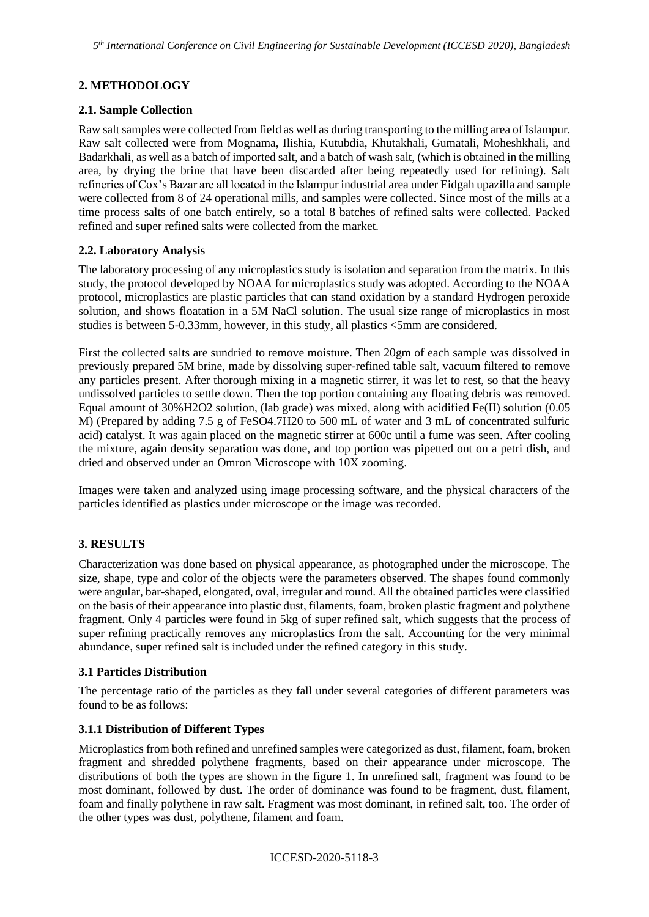# **2. METHODOLOGY**

## **2.1. Sample Collection**

Raw salt samples were collected from field as well as during transporting to the milling area of Islampur. Raw salt collected were from Mognama, Ilishia, Kutubdia, Khutakhali, Gumatali, Moheshkhali, and Badarkhali, as well as a batch of imported salt, and a batch of wash salt, (which is obtained in the milling area, by drying the brine that have been discarded after being repeatedly used for refining). Salt refineries of Cox's Bazar are all located in the Islampur industrial area under Eidgah upazilla and sample were collected from 8 of 24 operational mills, and samples were collected. Since most of the mills at a time process salts of one batch entirely, so a total 8 batches of refined salts were collected. Packed refined and super refined salts were collected from the market.

### **2.2. Laboratory Analysis**

The laboratory processing of any microplastics study is isolation and separation from the matrix. In this study, the protocol developed by NOAA for microplastics study was adopted. According to the NOAA protocol, microplastics are plastic particles that can stand oxidation by a standard Hydrogen peroxide solution, and shows floatation in a 5M NaCl solution. The usual size range of microplastics in most studies is between 5-0.33mm, however, in this study, all plastics <5mm are considered.

First the collected salts are sundried to remove moisture. Then 20gm of each sample was dissolved in previously prepared 5M brine, made by dissolving super-refined table salt, vacuum filtered to remove any particles present. After thorough mixing in a magnetic stirrer, it was let to rest, so that the heavy undissolved particles to settle down. Then the top portion containing any floating debris was removed. Equal amount of 30%H2O2 solution, (lab grade) was mixed, along with acidified Fe(II) solution (0.05 M) (Prepared by adding 7.5 g of FeSO4.7H20 to 500 mL of water and 3 mL of concentrated sulfuric acid) catalyst. It was again placed on the magnetic stirrer at 600c until a fume was seen. After cooling the mixture, again density separation was done, and top portion was pipetted out on a petri dish, and dried and observed under an Omron Microscope with 10X zooming.

Images were taken and analyzed using image processing software, and the physical characters of the particles identified as plastics under microscope or the image was recorded.

# **3. RESULTS**

Characterization was done based on physical appearance, as photographed under the microscope. The size, shape, type and color of the objects were the parameters observed. The shapes found commonly were angular, bar-shaped, elongated, oval, irregular and round. All the obtained particles were classified on the basis of their appearance into plastic dust, filaments, foam, broken plastic fragment and polythene fragment. Only 4 particles were found in 5kg of super refined salt, which suggests that the process of super refining practically removes any microplastics from the salt. Accounting for the very minimal abundance, super refined salt is included under the refined category in this study.

#### **3.1 Particles Distribution**

The percentage ratio of the particles as they fall under several categories of different parameters was found to be as follows:

#### **3.1.1 Distribution of Different Types**

Microplastics from both refined and unrefined samples were categorized as dust, filament, foam, broken fragment and shredded polythene fragments, based on their appearance under microscope. The distributions of both the types are shown in the figure 1. In unrefined salt, fragment was found to be most dominant, followed by dust. The order of dominance was found to be fragment, dust, filament, foam and finally polythene in raw salt. Fragment was most dominant, in refined salt, too. The order of the other types was dust, polythene, filament and foam.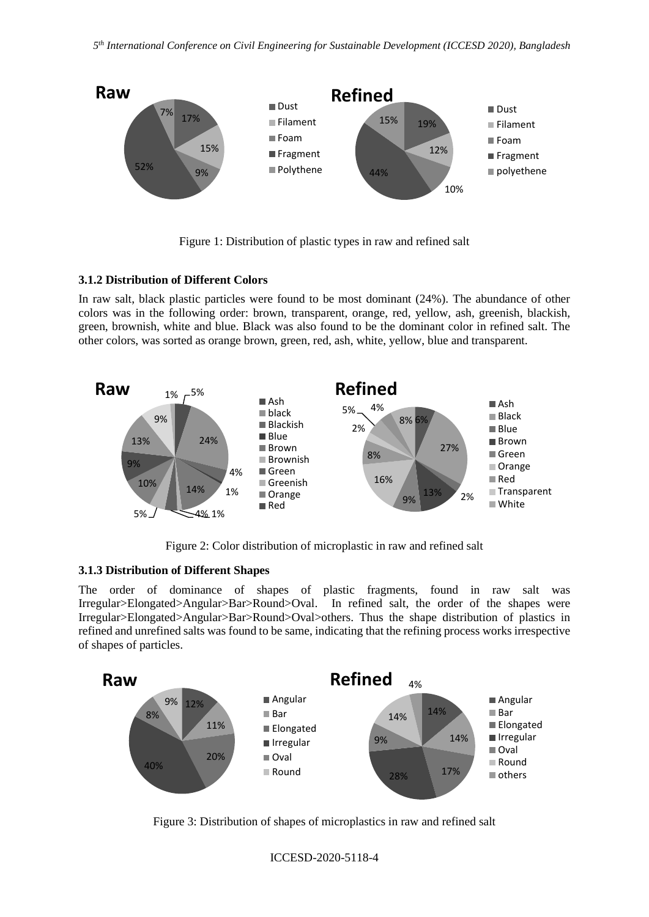

Figure 1: Distribution of plastic types in raw and refined salt

#### **3.1.2 Distribution of Different Colors**

In raw salt, black plastic particles were found to be most dominant (24%). The abundance of other colors was in the following order: brown, transparent, orange, red, yellow, ash, greenish, blackish, green, brownish, white and blue. Black was also found to be the dominant color in refined salt. The other colors, was sorted as orange brown, green, red, ash, white, yellow, blue and transparent.



Figure 2: Color distribution of microplastic in raw and refined salt

#### **3.1.3 Distribution of Different Shapes**

The order of dominance of shapes of plastic fragments, found in raw salt was Irregular>Elongated>Angular>Bar>Round>Oval. In refined salt, the order of the shapes were Irregular>Elongated>Angular>Bar>Round>Oval>others. Thus the shape distribution of plastics in refined and unrefined salts was found to be same, indicating that the refining process works irrespective of shapes of particles.



Figure 3: Distribution of shapes of microplastics in raw and refined salt

ICCESD-2020-5118-4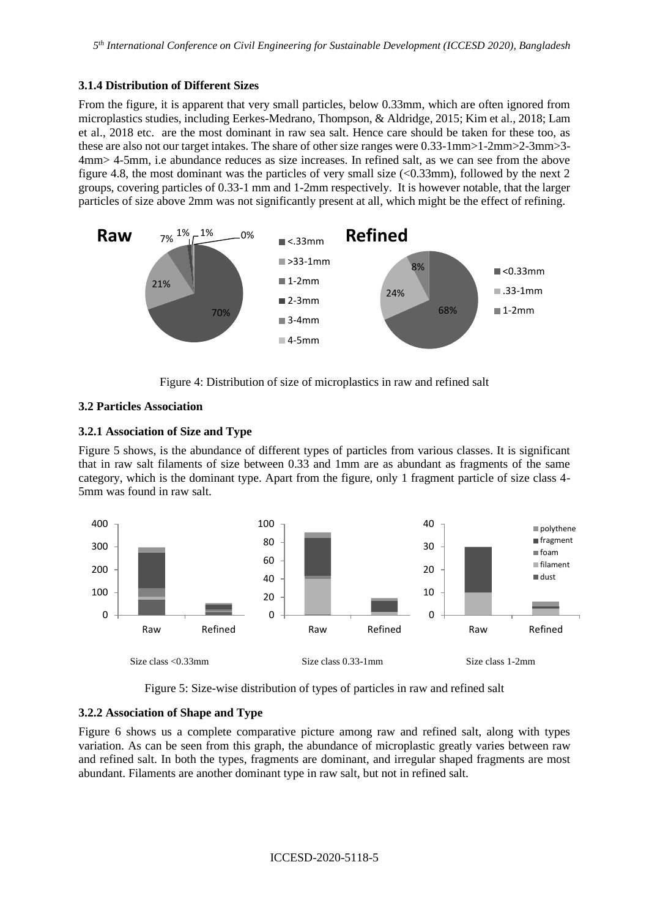## **3.1.4 Distribution of Different Sizes**

From the figure, it is apparent that very small particles, below 0.33mm, which are often ignored from microplastics studies, including Eerkes-Medrano, Thompson, & Aldridge, 2015; Kim et al., 2018; Lam et al., 2018 etc. are the most dominant in raw sea salt. Hence care should be taken for these too, as these are also not our target intakes. The share of other size ranges were 0.33-1mm>1-2mm>2-3mm>3- 4mm> 4-5mm, i.e abundance reduces as size increases. In refined salt, as we can see from the above figure 4.8, the most dominant was the particles of very small size  $\langle$  <0.33mm), followed by the next 2 groups, covering particles of 0.33-1 mm and 1-2mm respectively. It is however notable, that the larger particles of size above 2mm was not significantly present at all, which might be the effect of refining.



Figure 4: Distribution of size of microplastics in raw and refined salt

# **3.2 Particles Association**

### **3.2.1 Association of Size and Type**

Figure 5 shows, is the abundance of different types of particles from various classes. It is significant that in raw salt filaments of size between 0.33 and 1mm are as abundant as fragments of the same category, which is the dominant type. Apart from the figure, only 1 fragment particle of size class 4- 5mm was found in raw salt.



Figure 5: Size-wise distribution of types of particles in raw and refined salt

# **3.2.2 Association of Shape and Type**

Figure 6 shows us a complete comparative picture among raw and refined salt, along with types variation. As can be seen from this graph, the abundance of microplastic greatly varies between raw and refined salt. In both the types, fragments are dominant, and irregular shaped fragments are most abundant. Filaments are another dominant type in raw salt, but not in refined salt.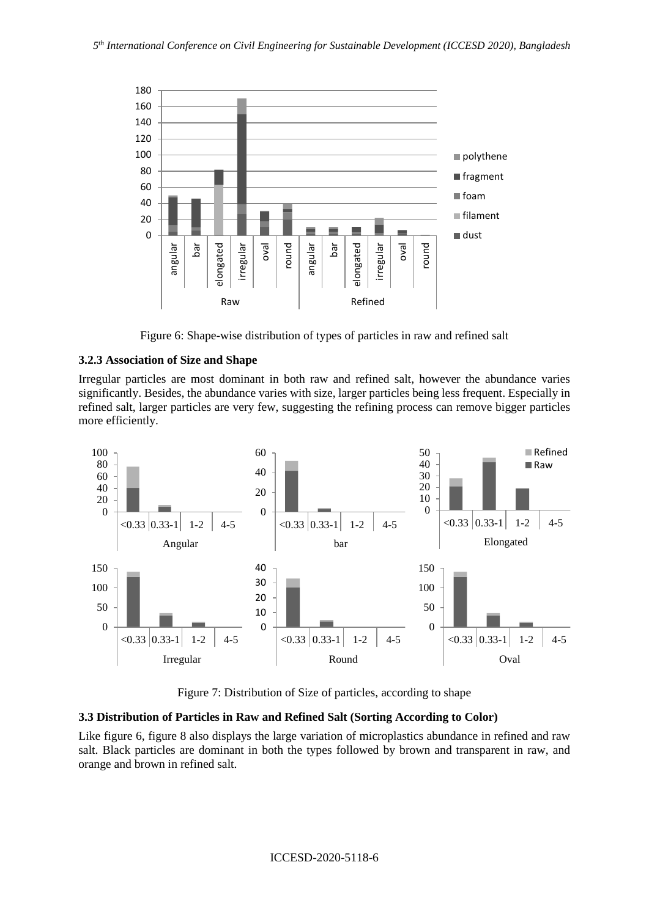

Figure 6: Shape-wise distribution of types of particles in raw and refined salt

### **3.2.3 Association of Size and Shape**

Irregular particles are most dominant in both raw and refined salt, however the abundance varies significantly. Besides, the abundance varies with size, larger particles being less frequent. Especially in refined salt, larger particles are very few, suggesting the refining process can remove bigger particles more efficiently.



Figure 7: Distribution of Size of particles, according to shape

#### **3.3 Distribution of Particles in Raw and Refined Salt (Sorting According to Color)**

Like figure 6, figure 8 also displays the large variation of microplastics abundance in refined and raw salt. Black particles are dominant in both the types followed by brown and transparent in raw, and orange and brown in refined salt.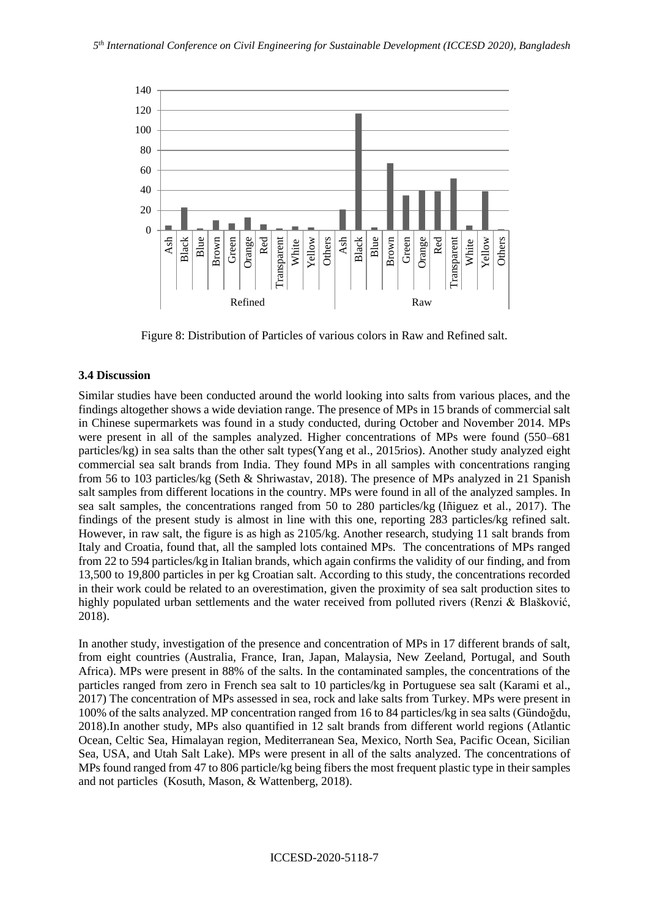

Figure 8: Distribution of Particles of various colors in Raw and Refined salt.

#### **3.4 Discussion**

Similar studies have been conducted around the world looking into salts from various places, and the findings altogether shows a wide deviation range. The presence of MPs in 15 brands of commercial salt in Chinese supermarkets was found in a study conducted, during October and November 2014. MPs were present in all of the samples analyzed. Higher concentrations of MPs were found (550–681 particles/kg) in sea salts than the other salt types(Yang et al., 2015rios). Another study analyzed eight commercial sea salt brands from India. They found MPs in all samples with concentrations ranging from 56 to 103 particles/kg (Seth & Shriwastav, 2018). The presence of MPs analyzed in 21 Spanish salt samples from different locations in the country. MPs were found in all of the analyzed samples. In sea salt samples, the concentrations ranged from 50 to 280 particles/kg (Iñiguez et al., 2017). The findings of the present study is almost in line with this one, reporting 283 particles/kg refined salt. However, in raw salt, the figure is as high as 2105/kg. Another research, studying 11 salt brands from Italy and Croatia, found that, all the sampled lots contained MPs. The concentrations of MPs ranged from 22 to 594 particles/kg in Italian brands, which again confirms the validity of our finding, and from 13,500 to 19,800 particles in per kg Croatian salt. According to this study, the concentrations recorded in their work could be related to an overestimation, given the proximity of sea salt production sites to highly populated urban settlements and the water received from polluted rivers (Renzi & Blašković, 2018).

In another study, investigation of the presence and concentration of MPs in 17 different brands of salt, from eight countries (Australia, France, Iran, Japan, Malaysia, New Zeeland, Portugal, and South Africa). MPs were present in 88% of the salts. In the contaminated samples, the concentrations of the particles ranged from zero in French sea salt to 10 particles/kg in Portuguese sea salt (Karami et al., 2017) The concentration of MPs assessed in sea, rock and lake salts from Turkey. MPs were present in 100% of the salts analyzed. MP concentration ranged from 16 to 84 particles/kg in sea salts (Gündoğdu, 2018).In another study, MPs also quantified in 12 salt brands from different world regions (Atlantic Ocean, Celtic Sea, Himalayan region, Mediterranean Sea, Mexico, North Sea, Pacific Ocean, Sicilian Sea, USA, and Utah Salt Lake). MPs were present in all of the salts analyzed. The concentrations of MPs found ranged from 47 to 806 particle/kg being fibers the most frequent plastic type in their samples and not particles (Kosuth, Mason, & Wattenberg, 2018).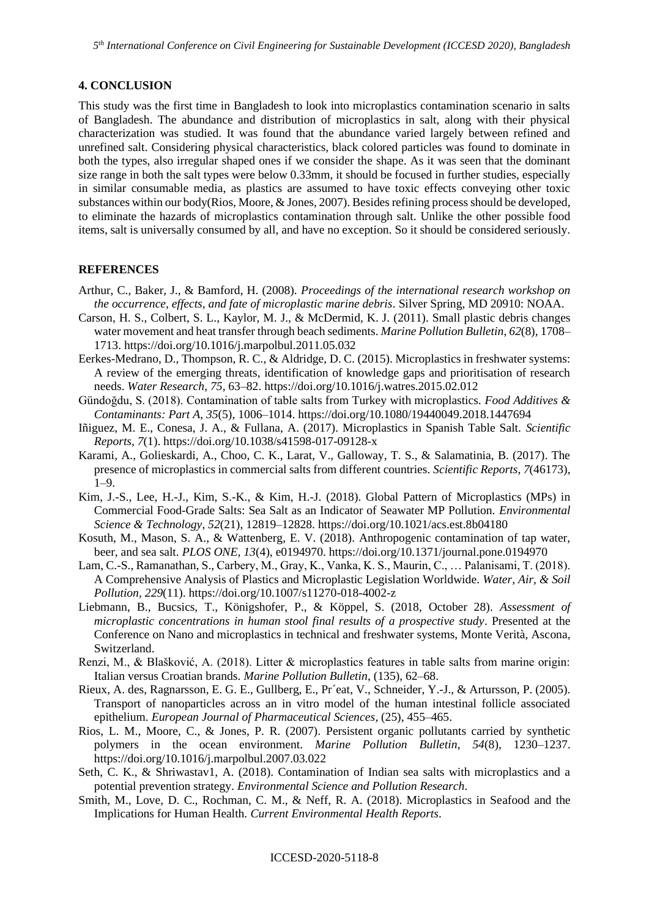### **4. CONCLUSION**

This study was the first time in Bangladesh to look into microplastics contamination scenario in salts of Bangladesh. The abundance and distribution of microplastics in salt, along with their physical characterization was studied. It was found that the abundance varied largely between refined and unrefined salt. Considering physical characteristics, black colored particles was found to dominate in both the types, also irregular shaped ones if we consider the shape. As it was seen that the dominant size range in both the salt types were below 0.33mm, it should be focused in further studies, especially in similar consumable media, as plastics are assumed to have toxic effects conveying other toxic substances within our body(Rios, Moore, & Jones, 2007). Besides refining process should be developed, to eliminate the hazards of microplastics contamination through salt. Unlike the other possible food items, salt is universally consumed by all, and have no exception. So it should be considered seriously.

#### **REFERENCES**

- Arthur, C., Baker, J., & Bamford, H. (2008). *Proceedings of the international research workshop on the occurrence, effects, and fate of microplastic marine debris*. Silver Spring, MD 20910: NOAA.
- Carson, H. S., Colbert, S. L., Kaylor, M. J., & McDermid, K. J. (2011). Small plastic debris changes water movement and heat transfer through beach sediments. *Marine Pollution Bulletin*, *62*(8), 1708– 1713. https://doi.org/10.1016/j.marpolbul.2011.05.032
- Eerkes-Medrano, D., Thompson, R. C., & Aldridge, D. C. (2015). Microplastics in freshwater systems: A review of the emerging threats, identification of knowledge gaps and prioritisation of research needs. *Water Research*, *75*, 63–82. https://doi.org/10.1016/j.watres.2015.02.012
- Gündoğdu, S. (2018). Contamination of table salts from Turkey with microplastics. *Food Additives & Contaminants: Part A*, *35*(5), 1006–1014. https://doi.org/10.1080/19440049.2018.1447694
- Iñiguez, M. E., Conesa, J. A., & Fullana, A. (2017). Microplastics in Spanish Table Salt. *Scientific Reports*, *7*(1). https://doi.org/10.1038/s41598-017-09128-x
- Karami, A., Golieskardi, A., Choo, C. K., Larat, V., Galloway, T. S., & Salamatinia, B. (2017). The presence of microplastics in commercial salts from different countries. *Scientific Reports*, *7*(46173), 1–9.
- Kim, J.-S., Lee, H.-J., Kim, S.-K., & Kim, H.-J. (2018). Global Pattern of Microplastics (MPs) in Commercial Food-Grade Salts: Sea Salt as an Indicator of Seawater MP Pollution. *Environmental Science & Technology*, *52*(21), 12819–12828. https://doi.org/10.1021/acs.est.8b04180
- Kosuth, M., Mason, S. A., & Wattenberg, E. V. (2018). Anthropogenic contamination of tap water, beer, and sea salt. *PLOS ONE*, *13*(4), e0194970. https://doi.org/10.1371/journal.pone.0194970
- Lam, C.-S., Ramanathan, S., Carbery, M., Gray, K., Vanka, K. S., Maurin, C., … Palanisami, T. (2018). A Comprehensive Analysis of Plastics and Microplastic Legislation Worldwide. *Water, Air, & Soil Pollution*, *229*(11). https://doi.org/10.1007/s11270-018-4002-z
- Liebmann, B., Bucsics, T., Königshofer, P., & Köppel, S. (2018, October 28). *Assessment of microplastic concentrations in human stool final results of a prospective study*. Presented at the Conference on Nano and microplastics in technical and freshwater systems, Monte Verità, Ascona, Switzerland.
- Renzi, M., & Blašković, A. (2018). Litter & microplastics features in table salts from marine origin: Italian versus Croatian brands. *Marine Pollution Bulletin*, (135), 62–68.
- Rieux, A. des, Ragnarsson, E. G. E., Gullberg, E., Pr´eat, V., Schneider, Y.-J., & Artursson, P. (2005). Transport of nanoparticles across an in vitro model of the human intestinal follicle associated epithelium. *European Journal of Pharmaceutical Sciences*, (25), 455–465.
- Rios, L. M., Moore, C., & Jones, P. R. (2007). Persistent organic pollutants carried by synthetic polymers in the ocean environment. *Marine Pollution Bulletin*, *54*(8), 1230–1237. https://doi.org/10.1016/j.marpolbul.2007.03.022
- Seth, C. K., & Shriwastav1, A. (2018). Contamination of Indian sea salts with microplastics and a potential prevention strategy. *Environmental Science and Pollution Research*.
- Smith, M., Love, D. C., Rochman, C. M., & Neff, R. A. (2018). Microplastics in Seafood and the Implications for Human Health. *Current Environmental Health Reports*.